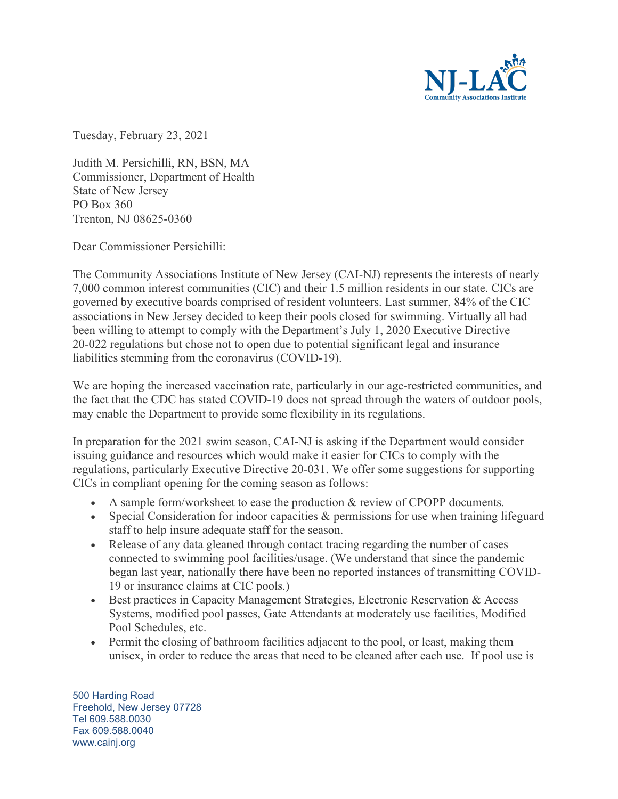

Tuesday, February 23, 2021

Judith M. Persichilli, RN, BSN, MA Commissioner, Department of Health State of New Jersey PO Box 360 Trenton, NJ 08625-0360

Dear Commissioner Persichilli:

The Community Associations Institute of New Jersey (CAI-NJ) represents the interests of nearly 7,000 common interest communities (CIC) and their 1.5 million residents in our state. CICs are governed by executive boards comprised of resident volunteers. Last summer, 84% of the CIC associations in New Jersey decided to keep their pools closed for swimming. Virtually all had been willing to attempt to comply with the Department's July 1, 2020 Executive Directive 20-022 regulations but chose not to open due to potential significant legal and insurance liabilities stemming from the coronavirus (COVID-19).

We are hoping the increased vaccination rate, particularly in our age-restricted communities, and the fact that the CDC has stated COVID-19 does not spread through the waters of outdoor pools, may enable the Department to provide some flexibility in its regulations.

In preparation for the 2021 swim season, CAI-NJ is asking if the Department would consider issuing guidance and resources which would make it easier for CICs to comply with the regulations, particularly Executive Directive 20-031. We offer some suggestions for supporting CICs in compliant opening for the coming season as follows:

- A sample form/worksheet to ease the production & review of CPOPP documents.
- Special Consideration for indoor capacities & permissions for use when training lifeguard staff to help insure adequate staff for the season.
- Release of any data gleaned through contact tracing regarding the number of cases connected to swimming pool facilities/usage. (We understand that since the pandemic began last year, nationally there have been no reported instances of transmitting COVID-19 or insurance claims at CIC pools.)
- Best practices in Capacity Management Strategies, Electronic Reservation & Access Systems, modified pool passes, Gate Attendants at moderately use facilities, Modified Pool Schedules, etc.
- Permit the closing of bathroom facilities adjacent to the pool, or least, making them unisex, in order to reduce the areas that need to be cleaned after each use. If pool use is

500 Harding Road Freehold, New Jersey 07728 Tel 609.588.0030 Fax 609.588.0040 [www.cainj.org](http://www.cainj.org/)